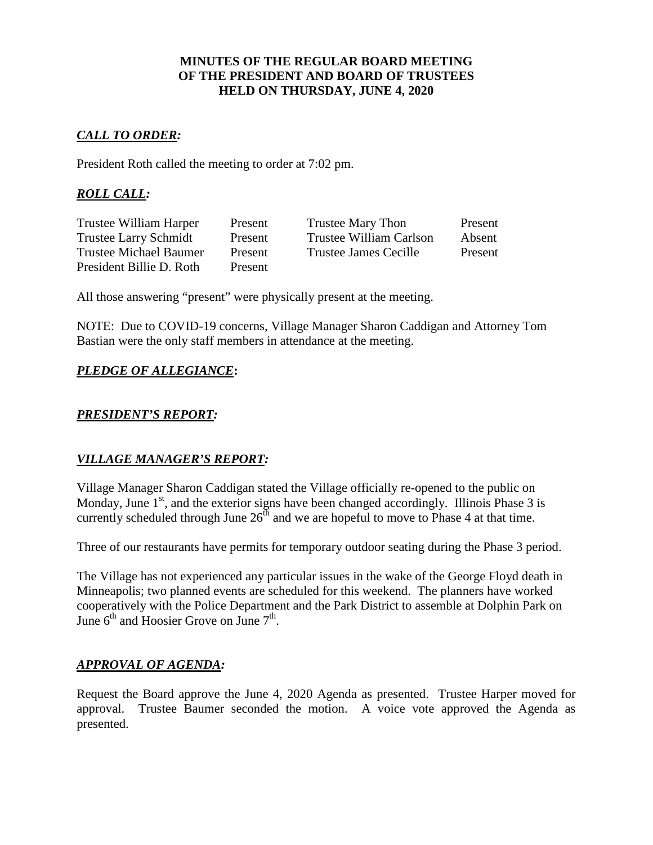### **MINUTES OF THE REGULAR BOARD MEETING OF THE PRESIDENT AND BOARD OF TRUSTEES HELD ON THURSDAY, JUNE 4, 2020**

## *CALL TO ORDER:*

President Roth called the meeting to order at 7:02 pm.

## *ROLL CALL:*

| Trustee William Harper       | Present | Trustee Mary Thon            | Present |
|------------------------------|---------|------------------------------|---------|
| <b>Trustee Larry Schmidt</b> | Present | Trustee William Carlson      | Absent  |
| Trustee Michael Baumer       | Present | <b>Trustee James Cecille</b> | Present |
| President Billie D. Roth     | Present |                              |         |

All those answering "present" were physically present at the meeting.

NOTE: Due to COVID-19 concerns, Village Manager Sharon Caddigan and Attorney Tom Bastian were the only staff members in attendance at the meeting.

## *PLEDGE OF ALLEGIANCE***:**

### *PRESIDENT'S REPORT:*

### *VILLAGE MANAGER'S REPORT:*

Village Manager Sharon Caddigan stated the Village officially re-opened to the public on Monday, June  $1<sup>st</sup>$ , and the exterior signs have been changed accordingly. Illinois Phase 3 is currently scheduled through June  $26<sup>th</sup>$  and we are hopeful to move to Phase 4 at that time.

Three of our restaurants have permits for temporary outdoor seating during the Phase 3 period.

The Village has not experienced any particular issues in the wake of the George Floyd death in Minneapolis; two planned events are scheduled for this weekend. The planners have worked cooperatively with the Police Department and the Park District to assemble at Dolphin Park on June  $6<sup>th</sup>$  and Hoosier Grove on June  $7<sup>th</sup>$ .

### *APPROVAL OF AGENDA:*

Request the Board approve the June 4, 2020 Agenda as presented. Trustee Harper moved for approval. Trustee Baumer seconded the motion. A voice vote approved the Agenda as presented.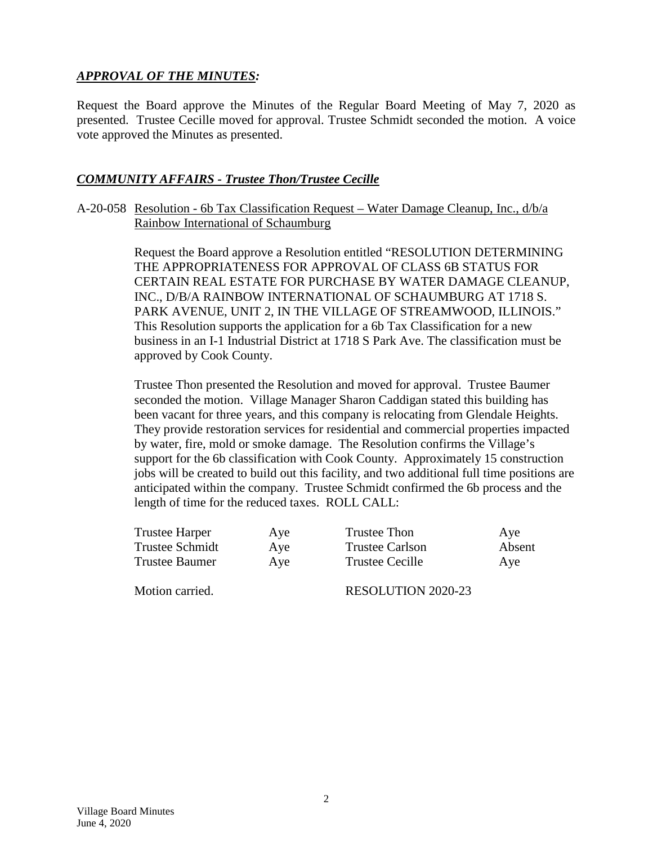## *APPROVAL OF THE MINUTES:*

Request the Board approve the Minutes of the Regular Board Meeting of May 7, 2020 as presented. Trustee Cecille moved for approval. Trustee Schmidt seconded the motion. A voice vote approved the Minutes as presented.

### *COMMUNITY AFFAIRS - Trustee Thon/Trustee Cecille*

A-20-058 Resolution - 6b Tax Classification Request – Water Damage Cleanup, Inc., d/b/a Rainbow International of Schaumburg

> Request the Board approve a Resolution entitled "RESOLUTION DETERMINING THE APPROPRIATENESS FOR APPROVAL OF CLASS 6B STATUS FOR CERTAIN REAL ESTATE FOR PURCHASE BY WATER DAMAGE CLEANUP, INC., D/B/A RAINBOW INTERNATIONAL OF SCHAUMBURG AT 1718 S. PARK AVENUE, UNIT 2, IN THE VILLAGE OF STREAMWOOD, ILLINOIS." This Resolution supports the application for a 6b Tax Classification for a new business in an I-1 Industrial District at 1718 S Park Ave. The classification must be approved by Cook County.

Trustee Thon presented the Resolution and moved for approval. Trustee Baumer seconded the motion. Village Manager Sharon Caddigan stated this building has been vacant for three years, and this company is relocating from Glendale Heights. They provide restoration services for residential and commercial properties impacted by water, fire, mold or smoke damage. The Resolution confirms the Village's support for the 6b classification with Cook County. Approximately 15 construction jobs will be created to build out this facility, and two additional full time positions are anticipated within the company. Trustee Schmidt confirmed the 6b process and the length of time for the reduced taxes. ROLL CALL:

| Trustee Harper  | Aye | Trustee Thon              | Aye    |
|-----------------|-----|---------------------------|--------|
| Trustee Schmidt | Aye | <b>Trustee Carlson</b>    | Absent |
| Trustee Baumer  | Aye | <b>Trustee Cecille</b>    | Ave    |
| Motion carried. |     | <b>RESOLUTION 2020-23</b> |        |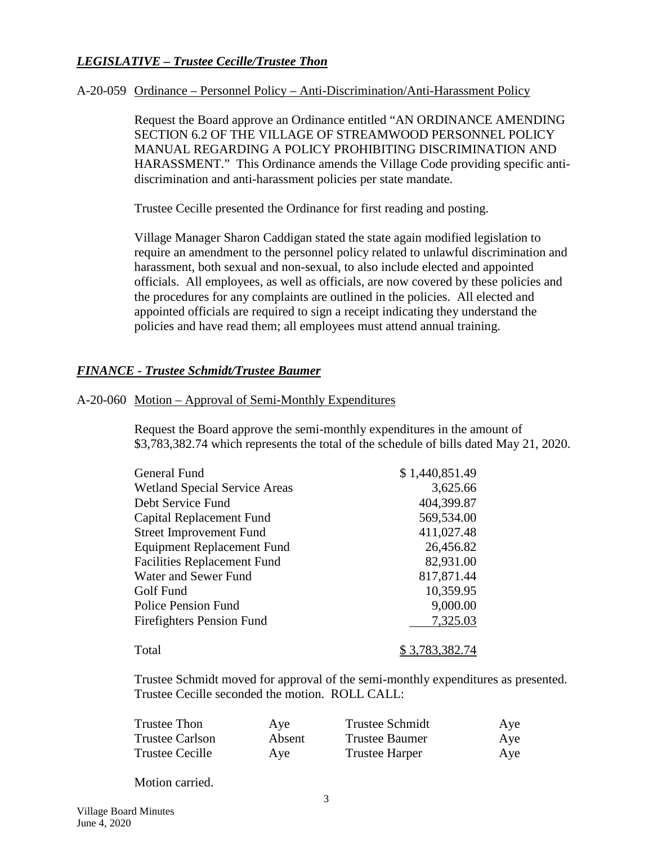## *LEGISLATIVE – Trustee Cecille/Trustee Thon*

#### A-20-059 Ordinance – Personnel Policy – Anti-Discrimination/Anti-Harassment Policy

Request the Board approve an Ordinance entitled "AN ORDINANCE AMENDING SECTION 6.2 OF THE VILLAGE OF STREAMWOOD PERSONNEL POLICY MANUAL REGARDING A POLICY PROHIBITING DISCRIMINATION AND HARASSMENT." This Ordinance amends the Village Code providing specific antidiscrimination and anti-harassment policies per state mandate.

Trustee Cecille presented the Ordinance for first reading and posting.

Village Manager Sharon Caddigan stated the state again modified legislation to require an amendment to the personnel policy related to unlawful discrimination and harassment, both sexual and non-sexual, to also include elected and appointed officials. All employees, as well as officials, are now covered by these policies and the procedures for any complaints are outlined in the policies. All elected and appointed officials are required to sign a receipt indicating they understand the policies and have read them; all employees must attend annual training.

### *FINANCE - Trustee Schmidt/Trustee Baumer*

#### A-20-060 Motion – Approval of Semi-Monthly Expenditures

Request the Board approve the semi-monthly expenditures in the amount of \$3,783,382.74 which represents the total of the schedule of bills dated May 21, 2020.

| General Fund                         | \$1,440,851.49 |
|--------------------------------------|----------------|
| <b>Wetland Special Service Areas</b> | 3,625.66       |
| Debt Service Fund                    | 404,399.87     |
| Capital Replacement Fund             | 569,534.00     |
| <b>Street Improvement Fund</b>       | 411,027.48     |
| <b>Equipment Replacement Fund</b>    | 26,456.82      |
| <b>Facilities Replacement Fund</b>   | 82,931.00      |
| Water and Sewer Fund                 | 817,871.44     |
| Golf Fund                            | 10,359.95      |
| <b>Police Pension Fund</b>           | 9,000.00       |
| <b>Firefighters Pension Fund</b>     | 7,325.03       |
| Total                                | \$3,783,382.74 |

Trustee Schmidt moved for approval of the semi-monthly expenditures as presented. Trustee Cecille seconded the motion. ROLL CALL:

| Trustee Thon    | Aye    | <b>Trustee Schmidt</b> | Aye |
|-----------------|--------|------------------------|-----|
| Trustee Carlson | Absent | <b>Trustee Baumer</b>  | Aye |
| Trustee Cecille | Aye    | <b>Trustee Harper</b>  | Aye |

Motion carried.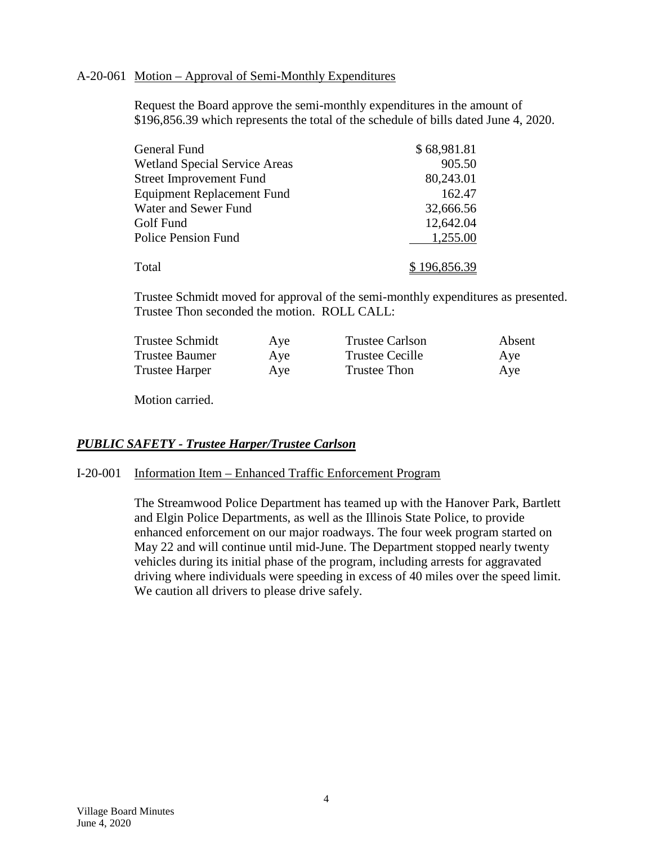#### A-20-061 Motion – Approval of Semi-Monthly Expenditures

Request the Board approve the semi-monthly expenditures in the amount of \$196,856.39 which represents the total of the schedule of bills dated June 4, 2020.

| General Fund                         | \$68,981.81  |
|--------------------------------------|--------------|
| <b>Wetland Special Service Areas</b> | 905.50       |
| <b>Street Improvement Fund</b>       | 80,243.01    |
| <b>Equipment Replacement Fund</b>    | 162.47       |
| Water and Sewer Fund                 | 32,666.56    |
| Golf Fund                            | 12,642.04    |
| <b>Police Pension Fund</b>           | 1,255.00     |
| Total                                | \$196,856.39 |

Trustee Schmidt moved for approval of the semi-monthly expenditures as presented. Trustee Thon seconded the motion. ROLL CALL:

| <b>Trustee Schmidt</b> | Aye | <b>Trustee Carlson</b> | Absent |
|------------------------|-----|------------------------|--------|
| <b>Trustee Baumer</b>  | Aye | Trustee Cecille        | Aye    |
| <b>Trustee Harper</b>  | Aye | Trustee Thon           | Aye    |

Motion carried.

### *PUBLIC SAFETY - Trustee Harper/Trustee Carlson*

I-20-001 Information Item – Enhanced Traffic Enforcement Program

The Streamwood Police Department has teamed up with the Hanover Park, Bartlett and Elgin Police Departments, as well as the Illinois State Police, to provide enhanced enforcement on our major roadways. The four week program started on May 22 and will continue until mid-June. The Department stopped nearly twenty vehicles during its initial phase of the program, including arrests for aggravated driving where individuals were speeding in excess of 40 miles over the speed limit. We caution all drivers to please drive safely.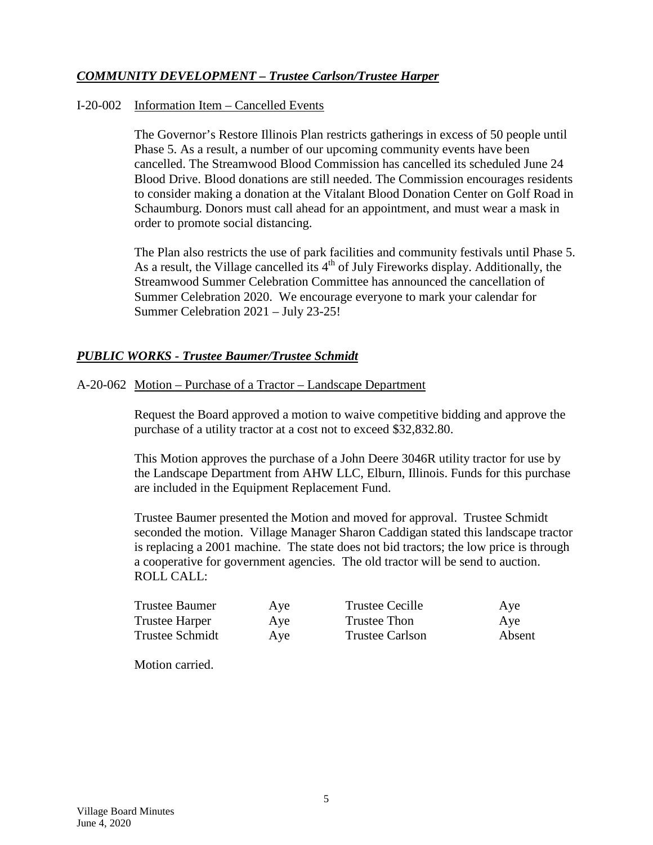## *COMMUNITY DEVELOPMENT – Trustee Carlson/Trustee Harper*

#### I-20-002 Information Item – Cancelled Events

The Governor's Restore Illinois Plan restricts gatherings in excess of 50 people until Phase 5. As a result, a number of our upcoming community events have been cancelled. The Streamwood Blood Commission has cancelled its scheduled June 24 Blood Drive. Blood donations are still needed. The Commission encourages residents to consider making a donation at the Vitalant Blood Donation Center on Golf Road in Schaumburg. Donors must call ahead for an appointment, and must wear a mask in order to promote social distancing.

The Plan also restricts the use of park facilities and community festivals until Phase 5. As a result, the Village cancelled its  $4<sup>th</sup>$  of July Fireworks display. Additionally, the Streamwood Summer Celebration Committee has announced the cancellation of Summer Celebration 2020. We encourage everyone to mark your calendar for Summer Celebration 2021 – July 23-25!

## *PUBLIC WORKS - Trustee Baumer/Trustee Schmidt*

A-20-062 Motion – Purchase of a Tractor – Landscape Department

Request the Board approved a motion to waive competitive bidding and approve the purchase of a utility tractor at a cost not to exceed \$32,832.80.

This Motion approves the purchase of a John Deere 3046R utility tractor for use by the Landscape Department from AHW LLC, Elburn, Illinois. Funds for this purchase are included in the Equipment Replacement Fund.

Trustee Baumer presented the Motion and moved for approval. Trustee Schmidt seconded the motion. Village Manager Sharon Caddigan stated this landscape tractor is replacing a 2001 machine. The state does not bid tractors; the low price is through a cooperative for government agencies. The old tractor will be send to auction. ROLL CALL:

| Trustee Baumer  | Aye | Trustee Cecille        | Aye    |
|-----------------|-----|------------------------|--------|
| Trustee Harper  | Aye | <b>Trustee Thon</b>    | Aye    |
| Trustee Schmidt | Aye | <b>Trustee Carlson</b> | Absent |

Motion carried.